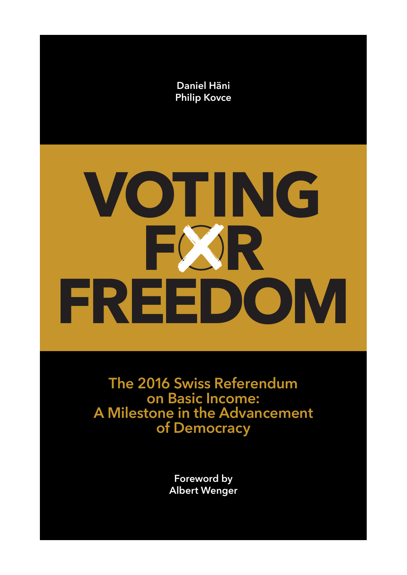

**The 2016 Swiss Referendum on Basic Income: A Milestone in the Advancement of Democracy**

> **Foreword by Albert Wenger**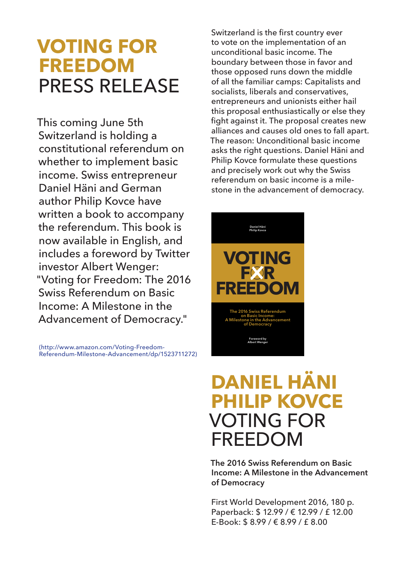## **VOTING FOR FREEDOM** PRESS RELEASE

This coming June 5th Switzerland is holding a constitutional referendum on whether to implement basic income. Swiss entrepreneur Daniel Häni and German author Philip Kovce have written a book to accompany the referendum. This book is now available in English, and includes a foreword by Twitter investor Albert Wenger: "Voting for Freedom: The 2016 Swiss Referendum on Basic Income: A Milestone in the Advancement of Democracy."

[\(http://www.amazon.com/Voting-Freedom-](http://www.amazon.com/Voting-Freedom- Referendum-Milestone-Advancement/dp/1523711272)[Referendum-Milestone-Advancement/dp/1523711272\)](http://www.amazon.com/Voting-Freedom- Referendum-Milestone-Advancement/dp/1523711272)

Switzerland is the first country ever to vote on the implementation of an unconditional basic income. The boundary between those in favor and those opposed runs down the middle of all the familiar camps: Capitalists and socialists, liberals and conservatives, entrepreneurs and unionists either hail this proposal enthusiastically or else they fight against it. The proposal creates new alliances and causes old ones to fall apart. The reason: Unconditional basic income asks the right questions. Daniel Häni and Philip Kovce formulate these questions and precisely work out why the Swiss referendum on basic income is a milestone in the advancement of democracy.



## **DANIEL HÄNI PHILIP KOVCE** VOTING FOR FREEDOM

**The 2016 Swiss Referendum on Basic Income: A Milestone in the Advancement of Democracy**

First World Development 2016, 180 p. Paperback: \$ 12.99 / € 12.99 / £ 12.00 E-Book: \$ 8.99 / € 8.99 / £ 8.00